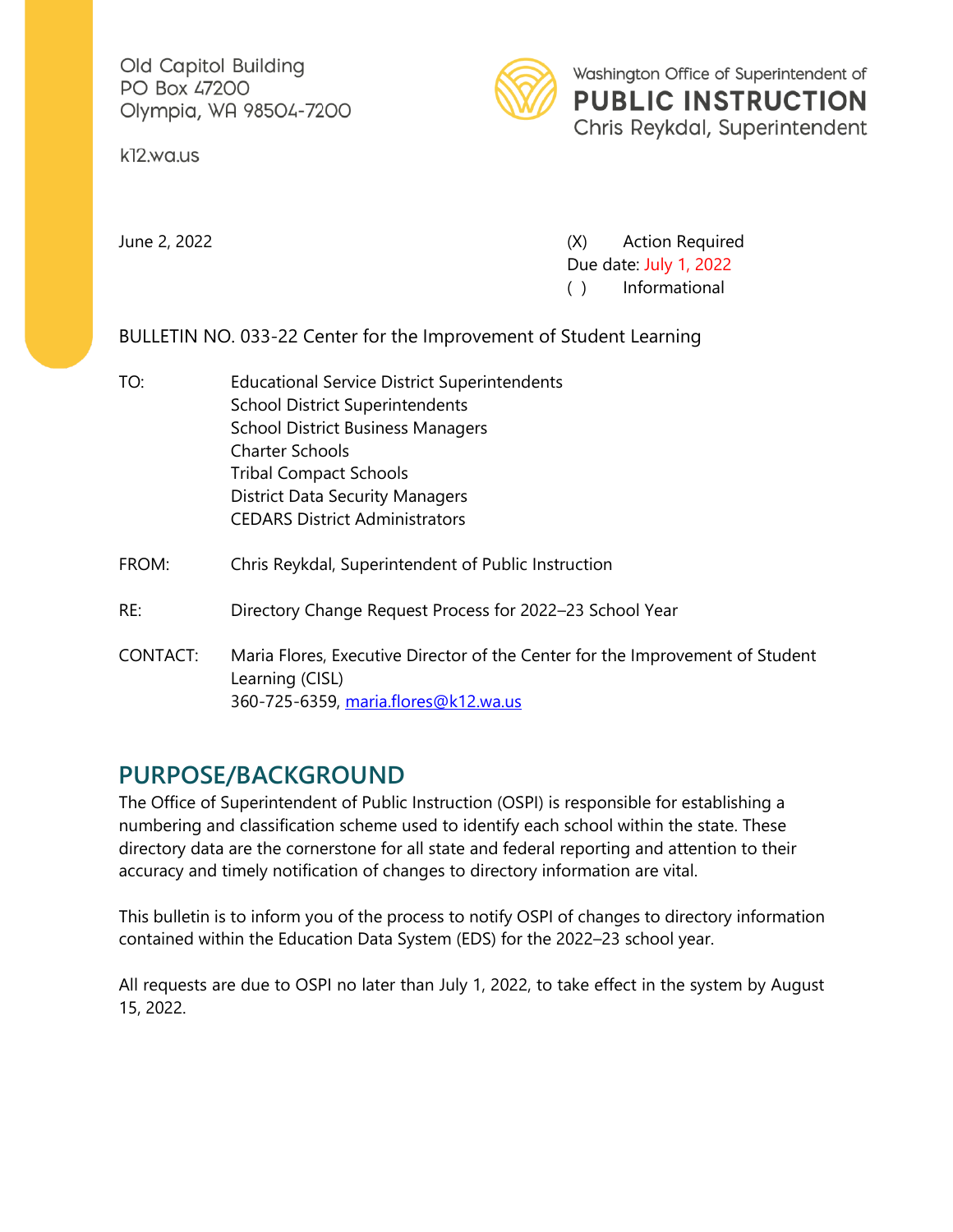Old Capitol Building PO Box 47200 Olympia, WA 98504-7200

k12.wa.us



June 2, 2022 (X) Action Required Due date: July 1, 2022 ( ) Informational

BULLETIN NO. 033-22 Center for the Improvement of Student Learning

- TO: Educational Service District Superintendents School District Superintendents School District Business Managers Charter Schools Tribal Compact Schools District Data Security Managers CEDARS District Administrators
- FROM: Chris Reykdal, Superintendent of Public Instruction
- RE: Directory Change Request Process for 2022–23 School Year
- CONTACT: Maria Flores, Executive Director of the Center for the Improvement of Student Learning (CISL) 360-725-6359, [maria.flores@k12.wa.us](mailto:maria.flores@k12.wa.us)

## **PURPOSE/BACKGROUND**

The Office of Superintendent of Public Instruction (OSPI) is responsible for establishing a numbering and classification scheme used to identify each school within the state. These directory data are the cornerstone for all state and federal reporting and attention to their accuracy and timely notification of changes to directory information are vital.

This bulletin is to inform you of the process to notify OSPI of changes to directory information contained within the Education Data System (EDS) for the 2022–23 school year.

All requests are due to OSPI no later than July 1, 2022, to take effect in the system by August 15, 2022.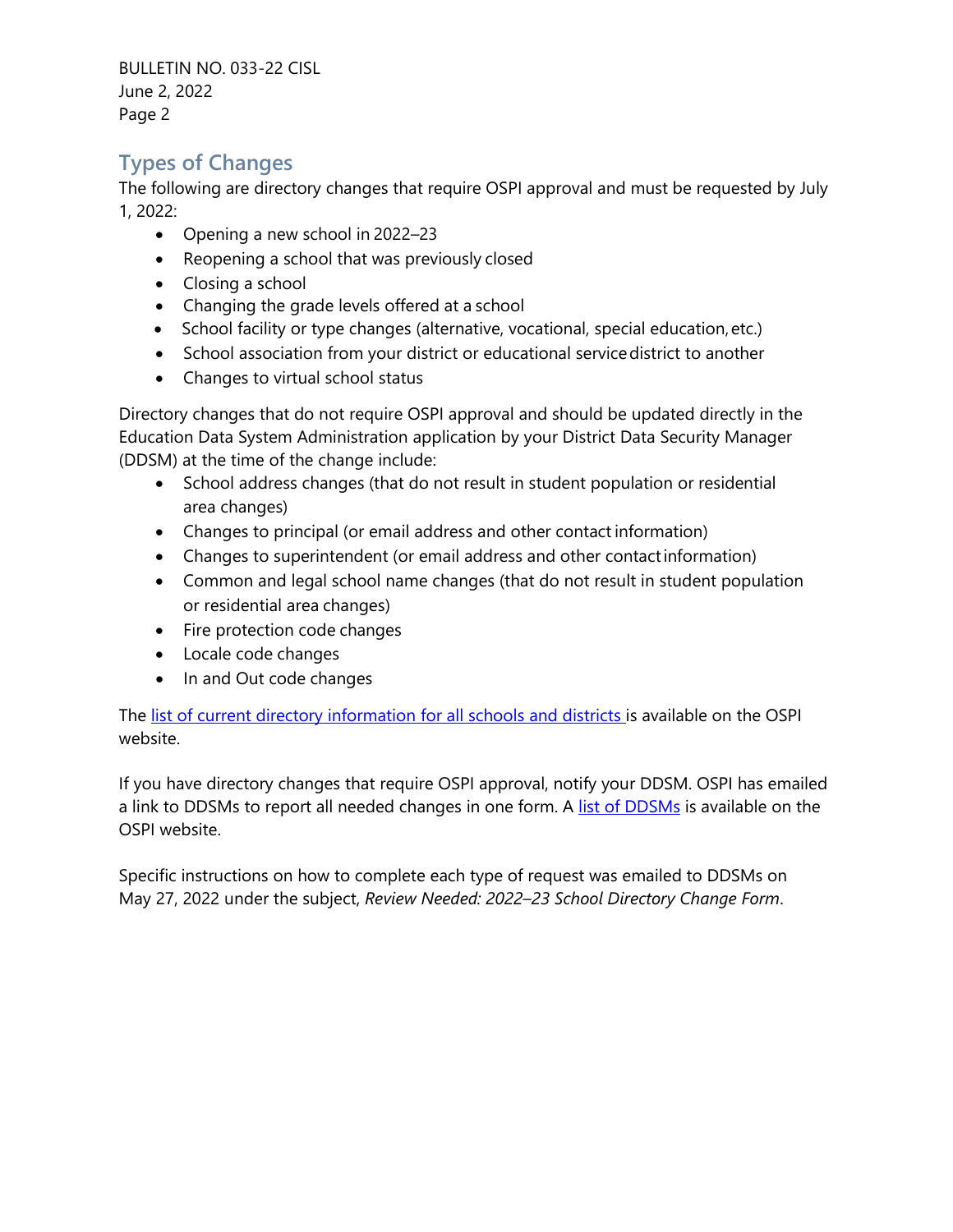BULLETIN NO. 033-22 CISL June 2, 2022 Page 2

## **Types of Changes**

The following are directory changes that require OSPI approval and must be requested by July 1, 2022:

- Opening a new school in 2022–23
- Reopening a school that was previously closed
- Closing a school
- Changing the grade levels offered at a school
- School facility or type changes (alternative, vocational, special education,etc.)
- School association from your district or educational servicedistrict to another
- Changes to virtual school status

Directory changes that do not require OSPI approval and should be updated directly in the Education Data System Administration application by your District Data Security Manager (DDSM) at the time of the change include:

- School address changes (that do not result in student population or residential area changes)
- Changes to principal (or email address and other contact information)
- Changes to superintendent (or email address and other contactinformation)
- Common and legal school name changes (that do not result in student population or residential area changes)
- Fire protection code changes
- Locale code changes
- In and Out code changes

The [list of current directory information for all schools and districts i](https://eds.ospi.k12.wa.us/DirectoryEDS.aspx)s available on the OSPI website.

If you have directory changes that require OSPI approval, notify your DDSM. OSPI has emailed a link to DDSMs to report all needed changes in one form. A [list of DDSMs](https://eds.ospi.k12.wa.us/SecurityManagerList.aspx) is available on the OSPI website.

Specific instructions on how to complete each type of request was emailed to DDSMs on May 27, 2022 under the subject, *Review Needed: 2022–23 School Directory Change Form*.